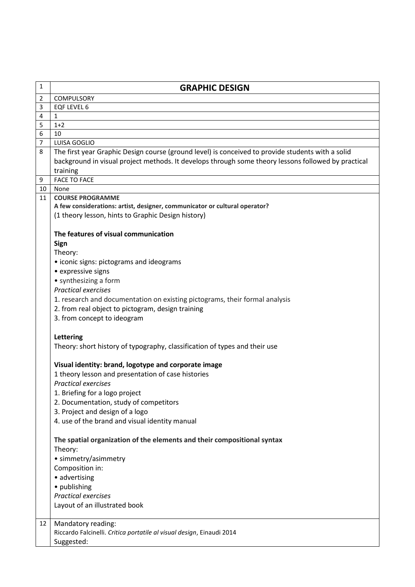| 1              | <b>GRAPHIC DESIGN</b>                                                                                                                                                                                                         |
|----------------|-------------------------------------------------------------------------------------------------------------------------------------------------------------------------------------------------------------------------------|
| 2              | <b>COMPULSORY</b>                                                                                                                                                                                                             |
| 3              | EQF LEVEL 6                                                                                                                                                                                                                   |
| $\overline{4}$ | 1                                                                                                                                                                                                                             |
| 5              | $1+2$                                                                                                                                                                                                                         |
| 6              | 10                                                                                                                                                                                                                            |
| 7              | LUISA GOGLIO                                                                                                                                                                                                                  |
| 8              | The first year Graphic Design course (ground level) is conceived to provide students with a solid<br>background in visual project methods. It develops through some theory lessons followed by practical<br>training          |
| 9              | <b>FACE TO FACE</b>                                                                                                                                                                                                           |
| 10             | None                                                                                                                                                                                                                          |
| 11             | <b>COURSE PROGRAMME</b><br>A few considerations: artist, designer, communicator or cultural operator?<br>(1 theory lesson, hints to Graphic Design history)                                                                   |
|                | The features of visual communication<br>Sign<br>Theory:                                                                                                                                                                       |
|                | • iconic signs: pictograms and ideograms<br>• expressive signs<br>• synthesizing a form<br><b>Practical exercises</b>                                                                                                         |
|                | 1. research and documentation on existing pictograms, their formal analysis<br>2. from real object to pictogram, design training<br>3. from concept to ideogram                                                               |
|                | Lettering<br>Theory: short history of typography, classification of types and their use                                                                                                                                       |
|                | Visual identity: brand, logotype and corporate image                                                                                                                                                                          |
|                | 1 theory lesson and presentation of case histories                                                                                                                                                                            |
|                | <b>Practical exercises</b>                                                                                                                                                                                                    |
|                | 1. Briefing for a logo project                                                                                                                                                                                                |
|                | 2. Documentation, study of competitors                                                                                                                                                                                        |
|                | 3. Project and design of a logo                                                                                                                                                                                               |
|                | 4. use of the brand and visual identity manual                                                                                                                                                                                |
|                | The spatial organization of the elements and their compositional syntax<br>Theory:<br>· simmetry/asimmetry<br>Composition in:<br>• advertising<br>· publishing<br><b>Practical exercises</b><br>Layout of an illustrated book |
| 12             | Mandatory reading:<br>Riccardo Falcinelli. Critica portatile al visual design, Einaudi 2014<br>Suggested:                                                                                                                     |